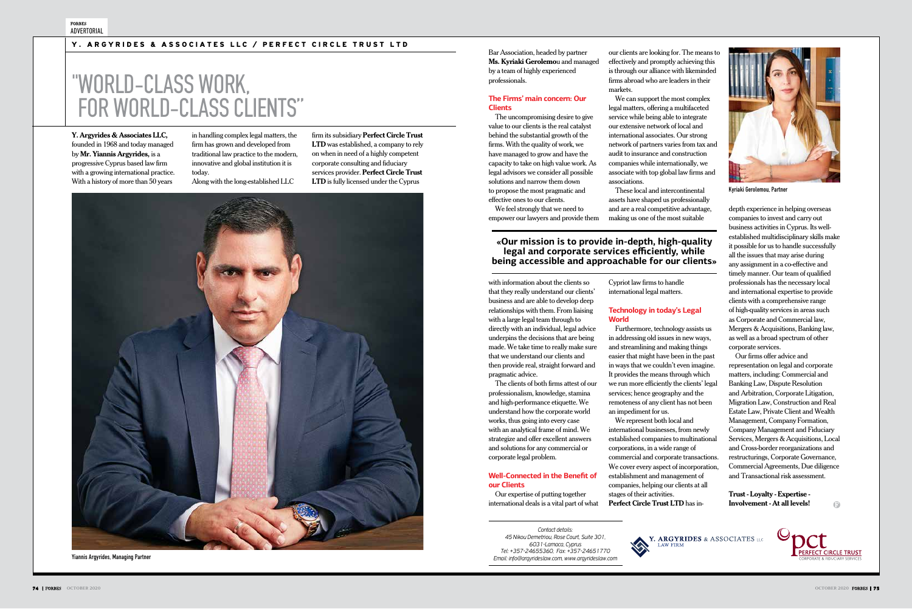**Y. Argyrides & Associates LLC,** founded in 1968 and today managed by **Mr. Yiannis Argyrides,** is a progressive Cyprus based law firm with a growing international practice. With a history of more than 50 years

in handling complex legal matters, the firm has grown and developed from traditional law practice to the modern, innovative and global institution it is today.

Along with the long-established LLC

firm its subsidiary **Perfect Circle Trust LTD** was established, a company to rely on when in need of a highly competent corporate consulting and fiduciary services provider. **Perfect Circle Trust LTD** is fully licensed under the Cyprus



#### Y. ARGYRIDES & ASSOCIATES LLC / PERFECT CIRCLE TRUST LTD

*Contact details: 45 Nikou Demetriou, Rose Court, Suite 301, 6031-Larnaca, Cyprus Tel: +357-24655360, Fax: +357-24651770 Email: info@argyrideslaw.com, www.argyrideslaw.com*



Bar Association, headed by partner **Ms. Kyriaki Gerolemo**u and managed by a team of highly experienced professionals.

#### **The Firms' main concern: Our Clients**

The uncompromising desire to give value to our clients is the real catalyst behind the substantial growth of the firms. With the quality of work, we have managed to grow and have the capacity to take on high value work. As legal advisors we consider all possible solutions and narrow them down to propose the most pragmatic and effective ones to our clients.

We feel strongly that we need to empower our lawyers and provide them

with information about the clients so that they really understand our clients' business and are able to develop deep relationships with them. From liaising with a large legal team through to directly with an individual, legal advice underpins the decisions that are being made. We take time to really make sure that we understand our clients and then provide real, straight forward and

pragmatic advice.

The clients of both firms attest of our professionalism, knowledge, stamina and high-performance etiquette. We understand how the corporate world works, thus going into every case with an analytical frame of mind. We strategize and offer excellent answers and solutions for any commercial or corporate legal problem.

depth experience in helping overseas companies to invest and carry out business activities in Cyprus. Its wellestablished multidisciplinary skills make it possible for us to handle successfully all the issues that may arise during any assignment in a co-effective and timely manner. Our team of qualified professionals has the necessary local and international expertise to provide clients with a comprehensive range of high-quality services in areas such as Corporate and Commercial law, Mergers & Acquisitions, Banking law, as well as a broad spectrum of other corporate services.

#### **Well-Connected in the Benefit of our Clients**

Our expertise of putting together international deals is a vital part of what our clients are looking for. The means to effectively and promptly achieving this is through our alliance with likeminded firms abroad who are leaders in their marketς.

We can support the most complex legal matters, offering a multifaceted service while being able to integrate our extensive network of local and international associates. Our strong network of partners varies from tax and audit to insurance and construction companies while internationally, we associate with top global law firms and associations.

These local and intercontinental assets have shaped us professionally and are a real competitive advantage, making us one of the most suitable

Cypriot law firms to handle international legal matters.

#### **Technology in today's Legal**

**World**

Furthermore, technology assists us in addressing old issues in new ways, and streamlining and making things easier that might have been in the past in ways that we couldn't even imagine. It provides the means through which we run more efficiently the clients' legal services; hence geography and the remoteness of any client has not been

an impediment for us.

We represent both local and international businesses, from newly established companies to multinational corporations, in a wide range of commercial and corporate transactions. We cover every aspect of incorporation, establishment and management of companies, helping our clients at all

stages of their activities.

**Perfect Circle Trust LTD** has in-

Our firms offer advice and representation on legal and corporate matters, including: Commercial and Banking Law, Dispute Resolution and Arbitration, Corporate Litigation, Migration Law, Construction and Real Estate Law, Private Client and Wealth Management, Company Formation, Company Management and Fiduciary Services, Mergers & Acquisitions, Local and Cross-border reorganizations and restructurings, Corporate Governance, Commercial Agreements, Due diligence and Transactional risk assessment.

**Trust - Loyalty - Expertise - Involvement - At all levels!**

 $\Omega$ 

Y. ARGYRIDES & ASSOCIATES



## "WORLD-CLASS WORK, FOR WORLD-CLASS CLIENTS"

#### **«Our mission is to provide in-depth, high-quality legal and corporate services efficiently, while being accessible and approachable for our clients»**

Yiannis Argyrides, Managing Partner



Kyriaki Gerolemou, Partner